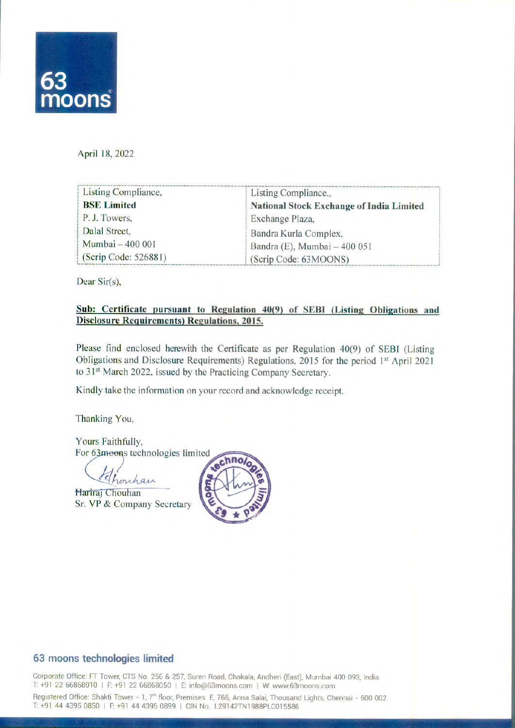

April 18, 2022

| Listing Compliance,  | Listing Compliance.,                            |
|----------------------|-------------------------------------------------|
| <b>BSE Limited</b>   | <b>National Stock Exchange of India Limited</b> |
| P.J. Towers,         | Exchange Plaza,                                 |
| Dalal Street,        | Bandra Kurla Complex,                           |
| Mumbai - 400 001     | Bandra (E), Mumbai - 400 051                    |
| (Scrip Code: 526881) | (Scrip Code: 63MOONS)                           |

Dear Sir(s),

### Sub: Certificate pursuant to Regulation 40(9) of SEBI (Listing Obligations and **DisclosureRequirements) Regulations,** 2015.

Please find enclosed herewith the Certificate as per Regulation 40(9) of SEBI (Listing Obligations and Disclosure Requirements) Regulations, 2015 for the period 1<sup>st</sup> April 2021 to 31<sup>st</sup> March 2022, issued by the Practicing Company Secretary.

Kindly take the information on your record and acknowledge receipt.

Thanking You,

Yours Faithfully, For 63 moons technologies limited nno

Thonhan

Hariraj Chouhan Sr.VP & Company Secretary



### **63 moons technologies limited**

Corporate Office: FT Tower, CTS No. 256 & 257, Suren Road, Chakala, Andheri (East), Mumbai 400 093, India. T: +91 22 66868010 | F: +91 22 66868050 | E: info@63moons.com | W: www.63moons.com